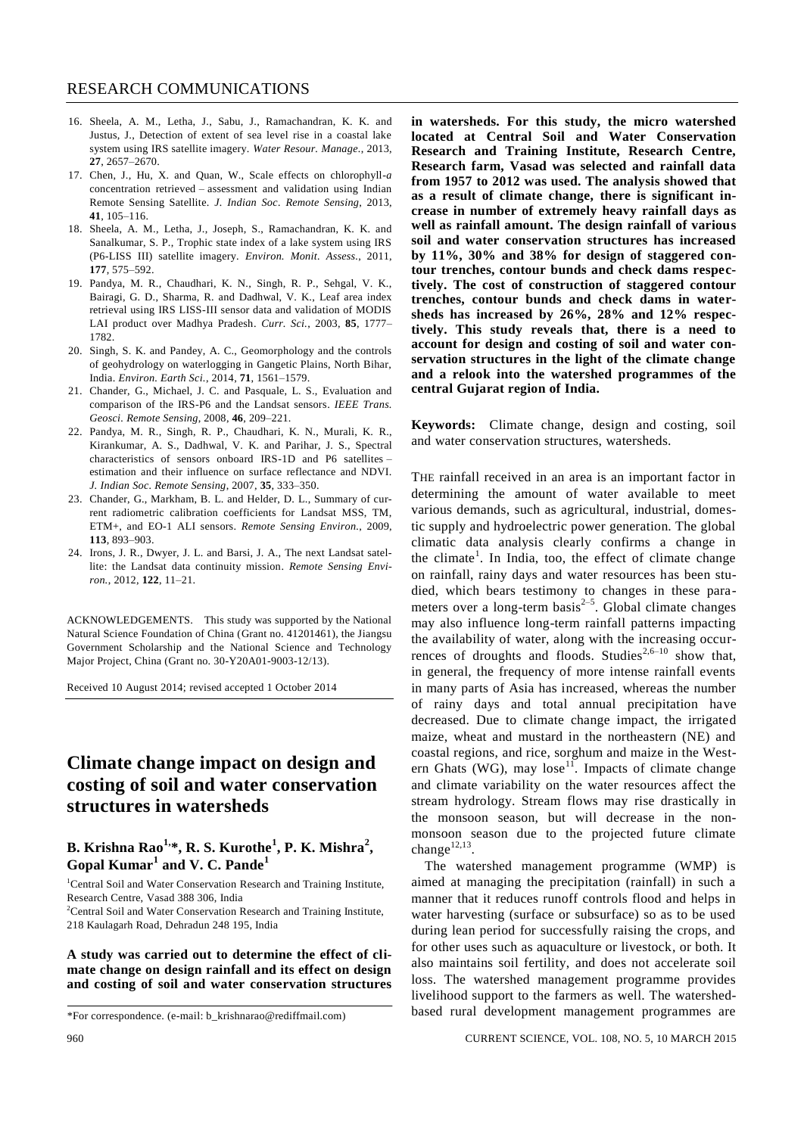- 16. Sheela, A. M., Letha, J., Sabu, J., Ramachandran, K. K. and Justus, J., Detection of extent of sea level rise in a coastal lake system using IRS satellite imagery. *Water Resour. Manage.*, 2013, **27**, 2657–2670.
- 17. Chen, J., Hu, X. and Quan, W., Scale effects on chlorophyll-*a* concentration retrieved – assessment and validation using Indian Remote Sensing Satellite. *J. Indian Soc. Remote Sensing*, 2013, **41**, 105–116.
- 18. Sheela, A. M., Letha, J., Joseph, S., Ramachandran, K. K. and Sanalkumar, S. P., Trophic state index of a lake system using IRS (P6-LISS III) satellite imagery. *Environ. Monit. Assess.*, 2011, **177**, 575–592.
- 19. Pandya, M. R., Chaudhari, K. N., Singh, R. P., Sehgal, V. K., Bairagi, G. D., Sharma, R. and Dadhwal, V. K., Leaf area index retrieval using IRS LISS-III sensor data and validation of MODIS LAI product over Madhya Pradesh. *Curr. Sci.*, 2003, **85**, 1777– 1782.
- 20. Singh, S. K. and Pandey, A. C., Geomorphology and the controls of geohydrology on waterlogging in Gangetic Plains, North Bihar, India. *Environ. Earth Sci.*, 2014, **71**, 1561–1579.
- 21. Chander, G., Michael, J. C. and Pasquale, L. S., Evaluation and comparison of the IRS-P6 and the Landsat sensors. *IEEE Trans. Geosci. Remote Sensing*, 2008, **46**, 209–221.
- 22. Pandya, M. R., Singh, R. P., Chaudhari, K. N., Murali, K. R., Kirankumar, A. S., Dadhwal, V. K. and Parihar, J. S., Spectral characteristics of sensors onboard IRS-1D and P6 satellites – estimation and their influence on surface reflectance and NDVI. *J. Indian Soc. Remote Sensing*, 2007, **35**, 333–350.
- 23. Chander, G., Markham, B. L. and Helder, D. L., Summary of current radiometric calibration coefficients for Landsat MSS, TM, ETM+, and EO-1 ALI sensors. *Remote Sensing Environ.*, 2009, **113**, 893–903.
- 24. Irons, J. R., Dwyer, J. L. and Barsi, J. A., The next Landsat satellite: the Landsat data continuity mission. *Remote Sensing Environ.*, 2012, **122**, 11–21.

ACKNOWLEDGEMENTS. This study was supported by the National Natural Science Foundation of China (Grant no. 41201461), the Jiangsu Government Scholarship and the National Science and Technology Major Project, China (Grant no. 30-Y20A01-9003-12/13).

Received 10 August 2014; revised accepted 1 October 2014

# **Climate change impact on design and costing of soil and water conservation structures in watersheds**

### **B. Krishna Rao1,\*, R. S. Kurothe<sup>1</sup> , P. K. Mishra<sup>2</sup> , Gopal Kumar<sup>1</sup> and V. C. Pande<sup>1</sup>**

<sup>1</sup>Central Soil and Water Conservation Research and Training Institute, Research Centre, Vasad 388 306, India

<sup>2</sup>Central Soil and Water Conservation Research and Training Institute, 218 Kaulagarh Road, Dehradun 248 195, India

**A study was carried out to determine the effect of climate change on design rainfall and its effect on design and costing of soil and water conservation structures** 

**in watersheds. For this study, the micro watershed located at Central Soil and Water Conservation Research and Training Institute, Research Centre, Research farm, Vasad was selected and rainfall data from 1957 to 2012 was used. The analysis showed that as a result of climate change, there is significant increase in number of extremely heavy rainfall days as well as rainfall amount. The design rainfall of various soil and water conservation structures has increased by 11%, 30% and 38% for design of staggered contour trenches, contour bunds and check dams respectively. The cost of construction of staggered contour trenches, contour bunds and check dams in watersheds has increased by 26%, 28% and 12% respectively. This study reveals that, there is a need to account for design and costing of soil and water conservation structures in the light of the climate change and a relook into the watershed programmes of the central Gujarat region of India.** 

**Keywords:** Climate change, design and costing, soil and water conservation structures, watersheds.

THE rainfall received in an area is an important factor in determining the amount of water available to meet various demands, such as agricultural, industrial, domestic supply and hydroelectric power generation. The global climatic data analysis clearly confirms a change in the climate<sup>1</sup>. In India, too, the effect of climate change on rainfall, rainy days and water resources has been studied, which bears testimony to changes in these parameters over a long-term basis $2-5$ . Global climate changes may also influence long-term rainfall patterns impacting the availability of water, along with the increasing occurrences of droughts and floods. Studies<sup>2,6-10</sup> show that, in general, the frequency of more intense rainfall events in many parts of Asia has increased, whereas the number of rainy days and total annual precipitation have decreased. Due to climate change impact, the irrigated maize, wheat and mustard in the northeastern (NE) and coastal regions, and rice, sorghum and maize in the Western Ghats (WG), may lose<sup>11</sup>. Impacts of climate change and climate variability on the water resources affect the stream hydrology. Stream flows may rise drastically in the monsoon season, but will decrease in the nonmonsoon season due to the projected future climate change $^{12,13}$ .

The watershed management programme (WMP) is aimed at managing the precipitation (rainfall) in such a manner that it reduces runoff controls flood and helps in water harvesting (surface or subsurface) so as to be used during lean period for successfully raising the crops, and for other uses such as aquaculture or livestock, or both. It also maintains soil fertility, and does not accelerate soil loss. The watershed management programme provides livelihood support to the farmers as well. The watershedbased rural development management programmes are

<sup>\*</sup>For correspondence. (e-mail: b\_krishnarao@rediffmail.com)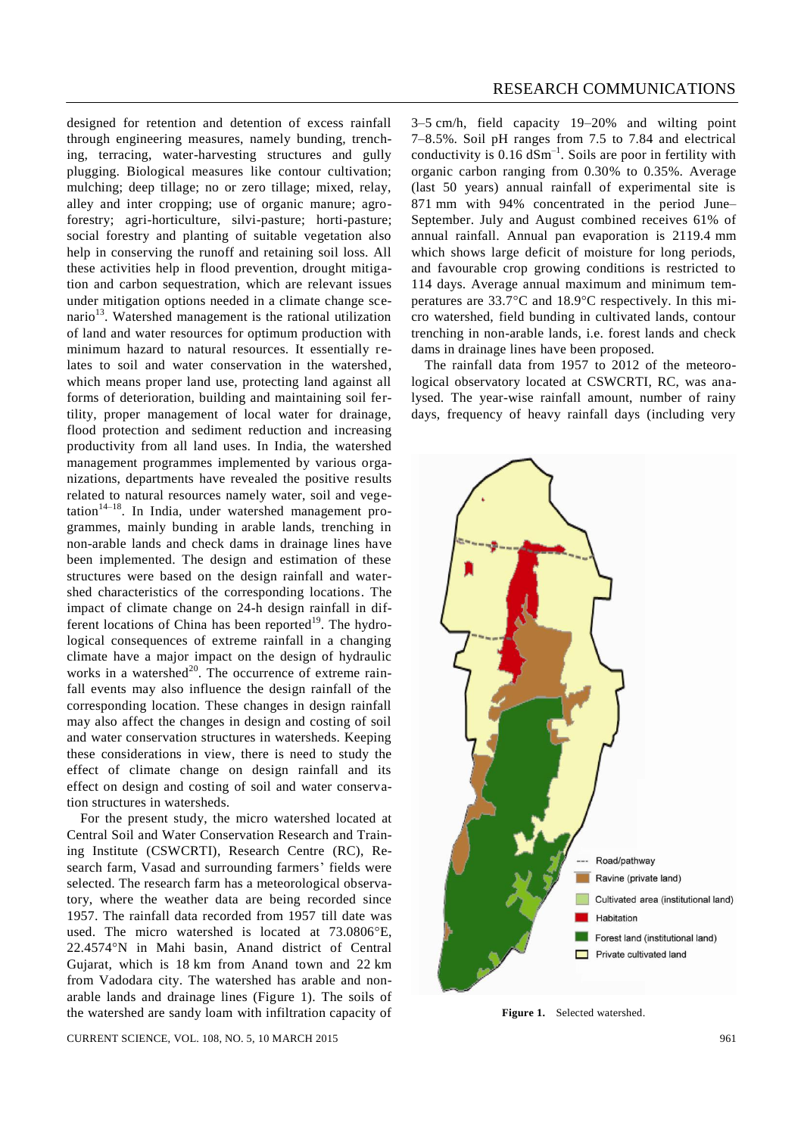designed for retention and detention of excess rainfall through engineering measures, namely bunding, trenching, terracing, water-harvesting structures and gully plugging. Biological measures like contour cultivation; mulching; deep tillage; no or zero tillage; mixed, relay, alley and inter cropping; use of organic manure; agroforestry; agri-horticulture, silvi-pasture; horti-pasture; social forestry and planting of suitable vegetation also help in conserving the runoff and retaining soil loss. All these activities help in flood prevention, drought mitigation and carbon sequestration, which are relevant issues under mitigation options needed in a climate change scenario<sup>13</sup>. Watershed management is the rational utilization of land and water resources for optimum production with minimum hazard to natural resources. It essentially relates to soil and water conservation in the watershed, which means proper land use, protecting land against all forms of deterioration, building and maintaining soil fertility, proper management of local water for drainage, flood protection and sediment reduction and increasing productivity from all land uses. In India, the watershed management programmes implemented by various organizations, departments have revealed the positive results related to natural resources namely water, soil and vegetation<sup>14–18</sup>. In India, under watershed management programmes, mainly bunding in arable lands, trenching in non-arable lands and check dams in drainage lines have been implemented. The design and estimation of these structures were based on the design rainfall and watershed characteristics of the corresponding locations. The impact of climate change on 24-h design rainfall in different locations of China has been reported<sup>19</sup>. The hydrological consequences of extreme rainfall in a changing climate have a major impact on the design of hydraulic works in a watershed<sup>20</sup>. The occurrence of extreme rainfall events may also influence the design rainfall of the corresponding location. These changes in design rainfall may also affect the changes in design and costing of soil and water conservation structures in watersheds. Keeping these considerations in view, there is need to study the effect of climate change on design rainfall and its effect on design and costing of soil and water conservation structures in watersheds.

For the present study, the micro watershed located at Central Soil and Water Conservation Research and Training Institute (CSWCRTI), Research Centre (RC), Research farm, Vasad and surrounding farmers' fields were selected. The research farm has a meteorological observatory, where the weather data are being recorded since 1957. The rainfall data recorded from 1957 till date was used. The micro watershed is located at 73.0806°E, 22.4574°N in Mahi basin, Anand district of Central Gujarat, which is 18 km from Anand town and 22 km from Vadodara city. The watershed has arable and nonarable lands and drainage lines (Figure 1). The soils of the watershed are sandy loam with infiltration capacity of 3–5 cm/h, field capacity 19–20% and wilting point 7–8.5%. Soil pH ranges from 7.5 to 7.84 and electrical conductivity is  $0.16 \text{ dSm}^{-1}$ . Soils are poor in fertility with organic carbon ranging from 0.30% to 0.35%. Average (last 50 years) annual rainfall of experimental site is 871 mm with 94% concentrated in the period June– September. July and August combined receives 61% of annual rainfall. Annual pan evaporation is 2119.4 mm which shows large deficit of moisture for long periods, and favourable crop growing conditions is restricted to 114 days. Average annual maximum and minimum temperatures are  $33.7^{\circ}$ C and  $18.9^{\circ}$ C respectively. In this micro watershed, field bunding in cultivated lands, contour trenching in non-arable lands, i.e. forest lands and check dams in drainage lines have been proposed.

The rainfall data from 1957 to 2012 of the meteorological observatory located at CSWCRTI, RC, was analysed. The year-wise rainfall amount, number of rainy days, frequency of heavy rainfall days (including very



**Figure 1.** Selected watershed.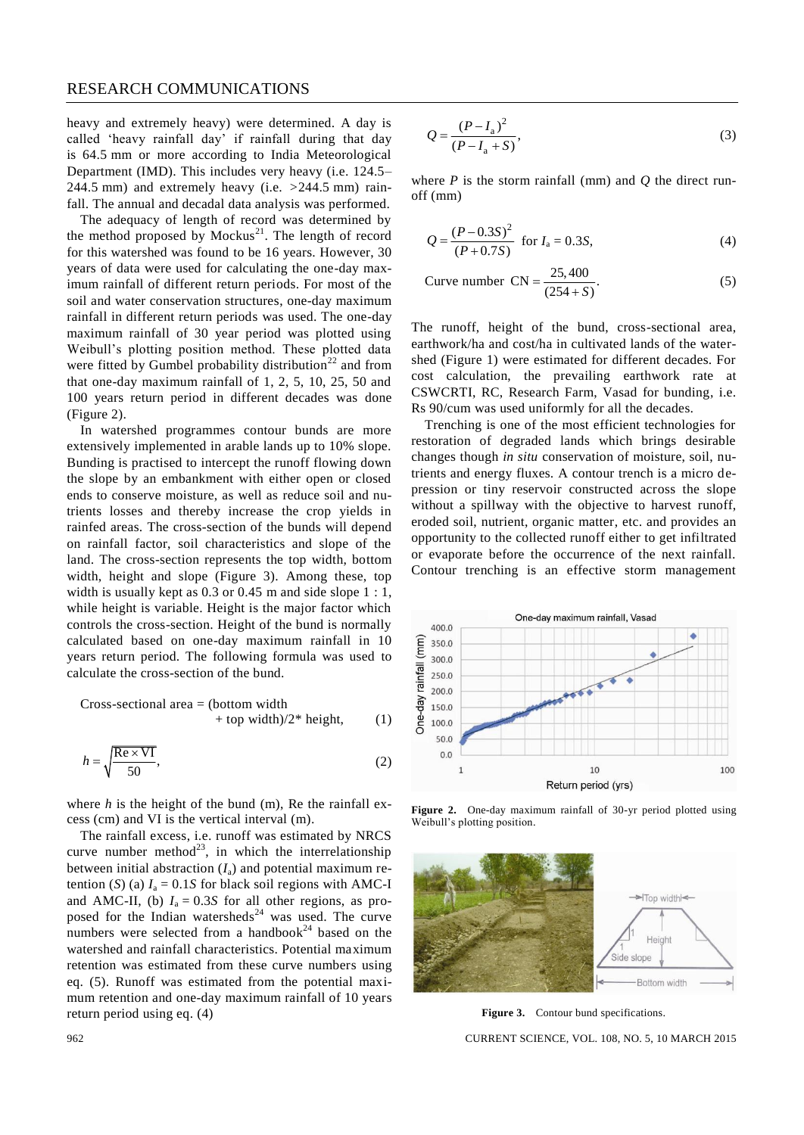heavy and extremely heavy) were determined. A day is called 'heavy rainfall day' if rainfall during that day is 64.5 mm or more according to India Meteorological Department (IMD). This includes very heavy (i.e. 124.5– 244.5 mm) and extremely heavy (i.e. *>*244.5 mm) rainfall. The annual and decadal data analysis was performed.

The adequacy of length of record was determined by the method proposed by  $Mockus<sup>21</sup>$ . The length of record for this watershed was found to be 16 years. However, 30 years of data were used for calculating the one-day maximum rainfall of different return periods. For most of the soil and water conservation structures, one-day maximum rainfall in different return periods was used. The one-day maximum rainfall of 30 year period was plotted using Weibull's plotting position method. These plotted data were fitted by Gumbel probability distribution<sup>22</sup> and from that one-day maximum rainfall of 1, 2, 5, 10, 25, 50 and 100 years return period in different decades was done (Figure 2).

In watershed programmes contour bunds are more extensively implemented in arable lands up to 10% slope. Bunding is practised to intercept the runoff flowing down the slope by an embankment with either open or closed ends to conserve moisture, as well as reduce soil and nutrients losses and thereby increase the crop yields in rainfed areas. The cross-section of the bunds will depend on rainfall factor, soil characteristics and slope of the land. The cross-section represents the top width, bottom width, height and slope (Figure 3). Among these, top width is usually kept as 0.3 or 0.45 m and side slope 1 : 1, while height is variable. Height is the major factor which controls the cross-section. Height of the bund is normally calculated based on one-day maximum rainfall in 10 years return period. The following formula was used to calculate the cross-section of the bund.

Cross-sectional area  $=$  (bottom width)  $+$  top width)/2\* height, (1)

$$
h = \sqrt{\frac{\text{Re} \times \text{VI}}{50}},\tag{2}
$$

where *h* is the height of the bund (m), Re the rainfall excess (cm) and VI is the vertical interval (m).

The rainfall excess, i.e. runoff was estimated by NRCS curve number method<sup>23</sup>, in which the interrelationship between initial abstraction  $(I_a)$  and potential maximum retention (*S*) (a)  $I_a = 0.1S$  for black soil regions with AMC-I and AMC-II, (b)  $I_a = 0.3S$  for all other regions, as proposed for the Indian watersheds<sup>24</sup> was used. The curve numbers were selected from a handbook<sup>24</sup> based on the watershed and rainfall characteristics. Potential maximum retention was estimated from these curve numbers using eq. (5). Runoff was estimated from the potential maximum retention and one-day maximum rainfall of 10 years return period using eq. (4)

$$
Q = \frac{(P - I_a)^2}{(P - I_a + S)},
$$
\n(3)

where  $P$  is the storm rainfall (mm) and  $Q$  the direct runoff (mm)

$$
Q = \frac{(P - 0.3S)^2}{(P + 0.7S)}
$$
 for  $I_a = 0.3S$ , (4)

Curve number CN = 
$$
\frac{25,400}{(254 + S)}
$$
. (5)

The runoff, height of the bund, cross-sectional area, earthwork/ha and cost/ha in cultivated lands of the watershed (Figure 1) were estimated for different decades. For cost calculation, the prevailing earthwork rate at CSWCRTI, RC, Research Farm, Vasad for bunding, i.e. Rs 90/cum was used uniformly for all the decades.

Trenching is one of the most efficient technologies for restoration of degraded lands which brings desirable changes though *in situ* conservation of moisture, soil, nutrients and energy fluxes. A contour trench is a micro depression or tiny reservoir constructed across the slope without a spillway with the objective to harvest runoff, eroded soil, nutrient, organic matter, etc. and provides an opportunity to the collected runoff either to get infiltrated or evaporate before the occurrence of the next rainfall. Contour trenching is an effective storm management



**Figure 2.** One-day maximum rainfall of 30-yr period plotted using Weibull's plotting position.



Figure 3. Contour bund specifications.

962 CURRENT SCIENCE, VOL. 108, NO. 5, 10 MARCH 2015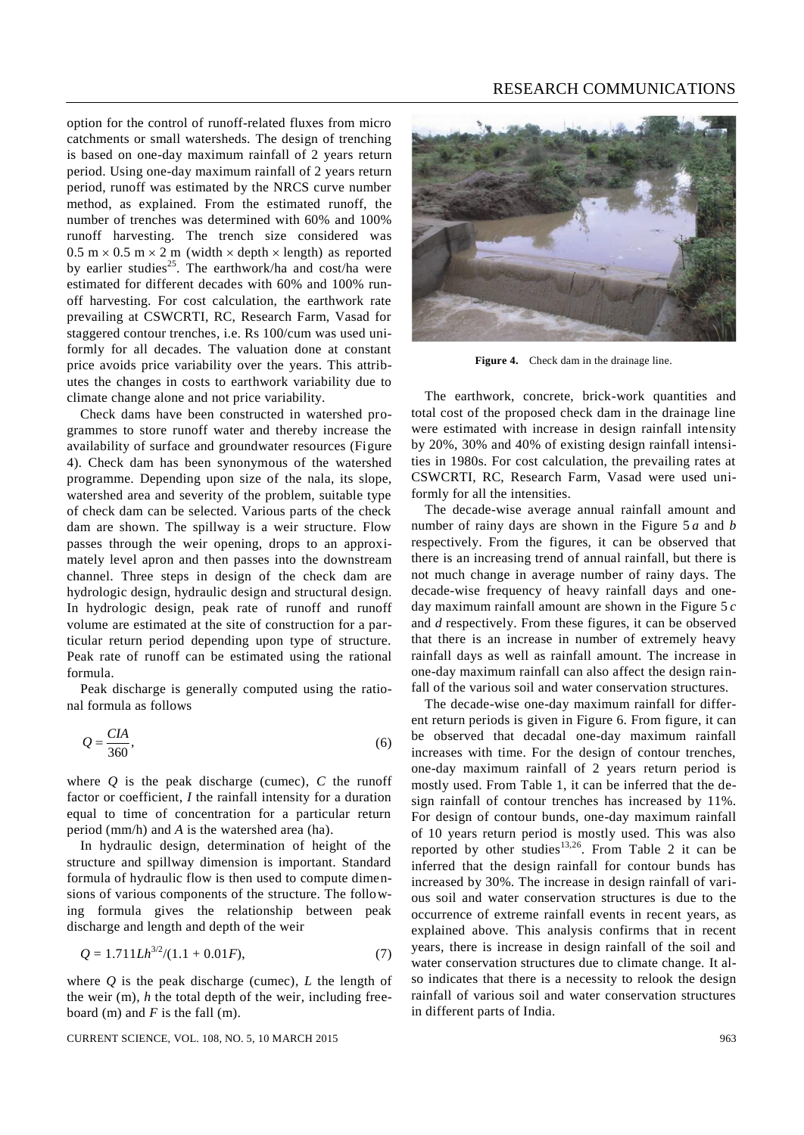#### RESEARCH COMMUNICATIONS

option for the control of runoff-related fluxes from micro catchments or small watersheds. The design of trenching is based on one-day maximum rainfall of 2 years return period. Using one-day maximum rainfall of 2 years return period, runoff was estimated by the NRCS curve number method, as explained. From the estimated runoff, the number of trenches was determined with 60% and 100% runoff harvesting. The trench size considered was  $0.5$  m  $\times$  0.5 m  $\times$  2 m (width  $\times$  depth  $\times$  length) as reported by earlier studies<sup>25</sup>. The earthwork/ha and cost/ha were estimated for different decades with 60% and 100% runoff harvesting. For cost calculation, the earthwork rate prevailing at CSWCRTI, RC, Research Farm, Vasad for staggered contour trenches, i.e. Rs 100/cum was used uniformly for all decades. The valuation done at constant price avoids price variability over the years. This attributes the changes in costs to earthwork variability due to climate change alone and not price variability.

Check dams have been constructed in watershed programmes to store runoff water and thereby increase the availability of surface and groundwater resources (Figure 4). Check dam has been synonymous of the watershed programme. Depending upon size of the nala, its slope, watershed area and severity of the problem, suitable type of check dam can be selected. Various parts of the check dam are shown. The spillway is a weir structure. Flow passes through the weir opening, drops to an approximately level apron and then passes into the downstream channel. Three steps in design of the check dam are hydrologic design, hydraulic design and structural design. In hydrologic design, peak rate of runoff and runoff volume are estimated at the site of construction for a particular return period depending upon type of structure. Peak rate of runoff can be estimated using the rational formula.

Peak discharge is generally computed using the rational formula as follows

$$
Q = \frac{CIA}{360},\tag{6}
$$

where  $Q$  is the peak discharge (cumec),  $C$  the runoff factor or coefficient, *I* the rainfall intensity for a duration equal to time of concentration for a particular return period (mm/h) and *A* is the watershed area (ha).

In hydraulic design, determination of height of the structure and spillway dimension is important. Standard formula of hydraulic flow is then used to compute dimensions of various components of the structure. The following formula gives the relationship between peak discharge and length and depth of the weir

$$
Q = 1.711 L h^{3/2} / (1.1 + 0.01 F),\tag{7}
$$

where *Q* is the peak discharge (cumec), *L* the length of the weir (m), *h* the total depth of the weir, including freeboard (m) and *F* is the fall (m).

CURRENT SCIENCE, VOL. 108, NO. 5, 10 MARCH 2015 963



Figure 4. Check dam in the drainage line.

The earthwork, concrete, brick-work quantities and total cost of the proposed check dam in the drainage line were estimated with increase in design rainfall intensity by 20%, 30% and 40% of existing design rainfall intensities in 1980s. For cost calculation, the prevailing rates at CSWCRTI, RC, Research Farm, Vasad were used uniformly for all the intensities.

The decade-wise average annual rainfall amount and number of rainy days are shown in the Figure 5 *a* and *b* respectively. From the figures, it can be observed that there is an increasing trend of annual rainfall, but there is not much change in average number of rainy days. The decade-wise frequency of heavy rainfall days and oneday maximum rainfall amount are shown in the Figure 5 *c* and *d* respectively. From these figures, it can be observed that there is an increase in number of extremely heavy rainfall days as well as rainfall amount. The increase in one-day maximum rainfall can also affect the design rainfall of the various soil and water conservation structures.

The decade-wise one-day maximum rainfall for different return periods is given in Figure 6. From figure, it can be observed that decadal one-day maximum rainfall increases with time. For the design of contour trenches, one-day maximum rainfall of 2 years return period is mostly used. From Table 1, it can be inferred that the design rainfall of contour trenches has increased by 11%. For design of contour bunds, one-day maximum rainfall of 10 years return period is mostly used. This was also reported by other studies<sup>13,26</sup>. From Table 2 it can be inferred that the design rainfall for contour bunds has increased by 30%. The increase in design rainfall of various soil and water conservation structures is due to the occurrence of extreme rainfall events in recent years, as explained above. This analysis confirms that in recent years, there is increase in design rainfall of the soil and water conservation structures due to climate change. It also indicates that there is a necessity to relook the design rainfall of various soil and water conservation structures in different parts of India.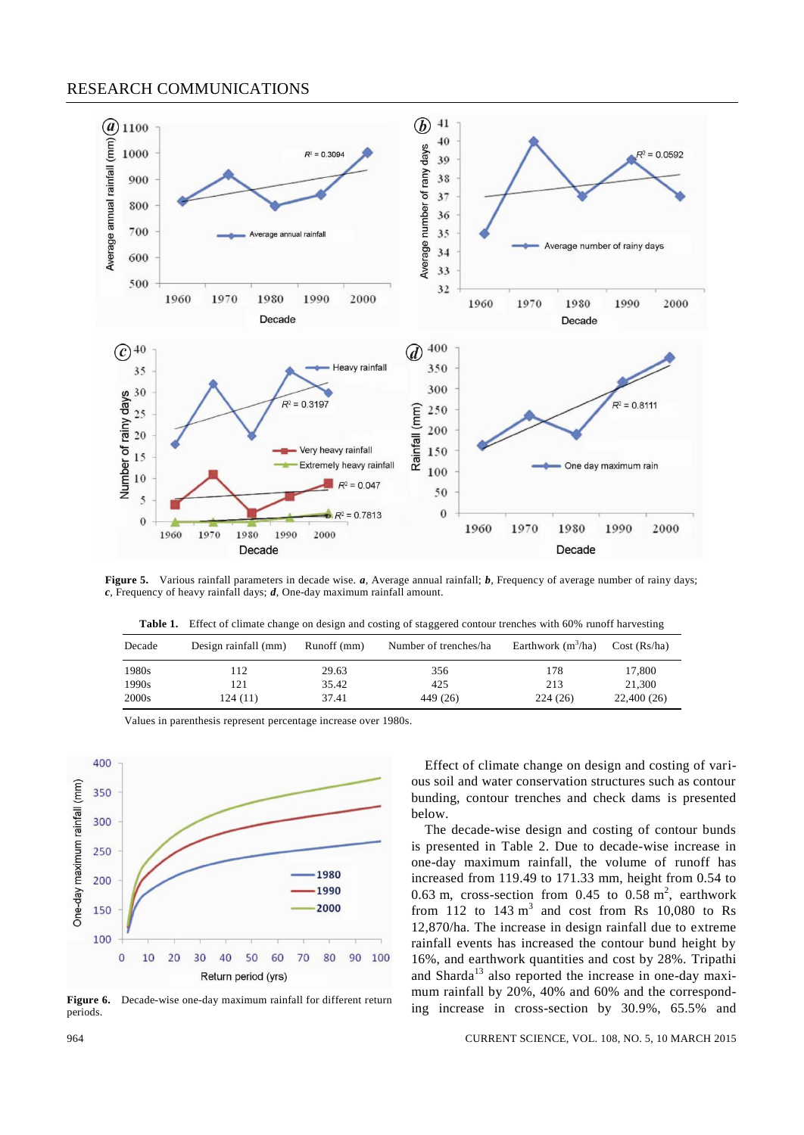#### RESEARCH COMMUNICATIONS



**Figure 5.** Various rainfall parameters in decade wise. *a*, Average annual rainfall; *b*, Frequency of average number of rainy days; *c*, Frequency of heavy rainfall days; *d*, One-day maximum rainfall amount.

| Decade | Design rainfall (mm) | Runoff (mm) | Number of trenches/ha | Earthwork $(m^3/ha)$ | Cost (Rs/ha) |
|--------|----------------------|-------------|-----------------------|----------------------|--------------|
| 1980s  | 112                  | 29.63       | 356                   | 178                  | 17,800       |
| 1990s  | 121                  | 35.42       | 425                   | 213                  | 21.300       |
| 2000s  | 124(11)              | 37.41       | 449 (26)              | 224(26)              | 22,400(26)   |



Values in parenthesis represent percentage increase over 1980s.

Figure 6. Decade-wise one-day maximum rainfall for different return periods.

Effect of climate change on design and costing of various soil and water conservation structures such as contour bunding, contour trenches and check dams is presented below.

The decade-wise design and costing of contour bunds is presented in Table 2. Due to decade-wise increase in one-day maximum rainfall, the volume of runoff has increased from 119.49 to 171.33 mm, height from 0.54 to 0.63 m, cross-section from 0.45 to 0.58  $m^2$ , earthwork from 112 to  $143 \text{ m}^3$  and cost from Rs 10,080 to Rs 12,870/ha. The increase in design rainfall due to extreme rainfall events has increased the contour bund height by 16%, and earthwork quantities and cost by 28%. Tripathi and Sharda<sup>13</sup> also reported the increase in one-day maximum rainfall by 20%, 40% and 60% and the corresponding increase in cross-section by 30.9%, 65.5% and

#### 964 CURRENT SCIENCE, VOL. 108, NO. 5, 10 MARCH 2015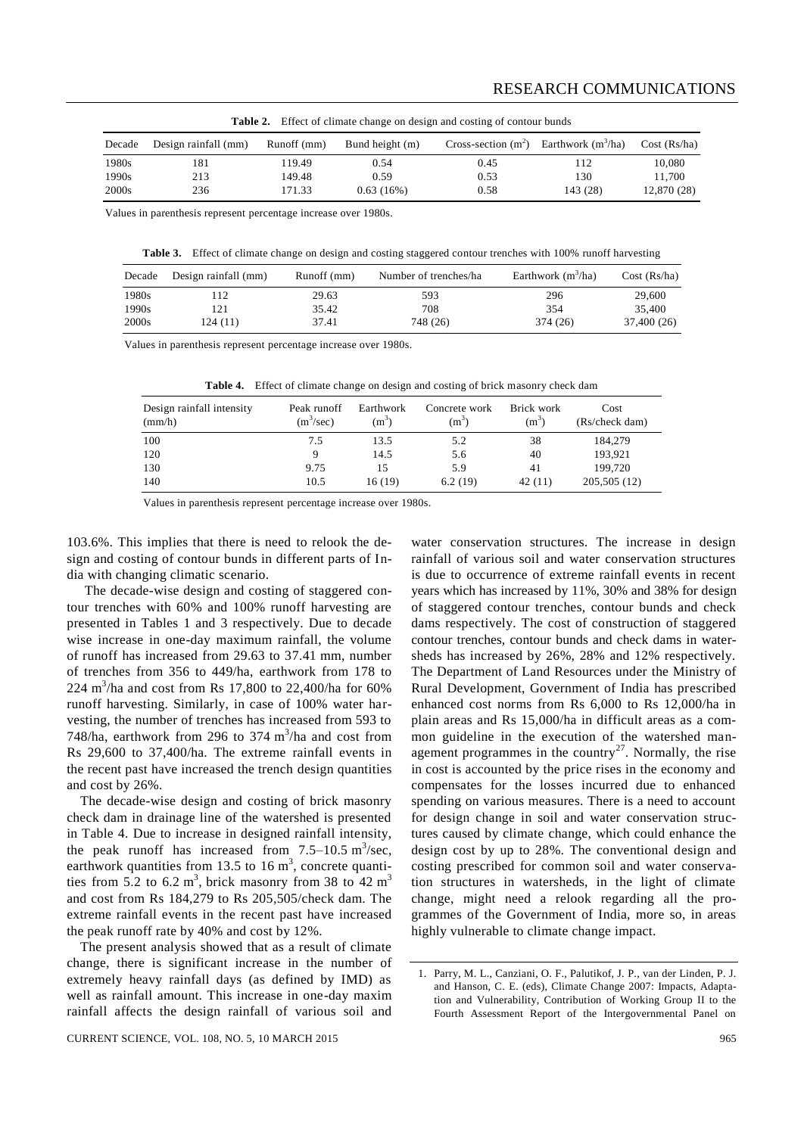| <b>Table 2.</b> Effect of chiliate change on design and costing of comoun builds |                      |             |                 |                       |                      |              |  |
|----------------------------------------------------------------------------------|----------------------|-------------|-----------------|-----------------------|----------------------|--------------|--|
| Decade                                                                           | Design rainfall (mm) | Runoff (mm) | Bund height (m) | Cross-section $(m^2)$ | Earthwork $(m^3/ha)$ | Cost (Rs/ha) |  |
| 1980s                                                                            | 181                  | 19.49       | 0.54            | 0.45                  | 112                  | 10,080       |  |
| 1990s                                                                            | 213                  | 149.48      | 0.59            | 0.53                  | 130                  | 11.700       |  |
| 2000s                                                                            | 236                  | 171.33      | 0.63(16%)       | 0.58                  | 143 (28)             | 12,870 (28)  |  |

**Table 2.** Effect of climate change on design and costing of contour bunds

Values in parenthesis represent percentage increase over 1980s.

**Table 3.** Effect of climate change on design and costing staggered contour trenches with 100% runoff harvesting

| Decade            | Design rainfall (mm) | Runoff (mm) | Number of trenches/ha | Earthwork $(m^3/ha)$ | Cost (Rs/ha) |
|-------------------|----------------------|-------------|-----------------------|----------------------|--------------|
| 1980s             | 112                  | 29.63       | 593                   | 296                  | 29,600       |
| 1990s             | 121                  | 35.42       | 708                   | 354                  | 35,400       |
| 2000 <sub>s</sub> | 124 (11)             | 37.41       | 748 (26)              | 374 (26)             | 37,400 (26)  |

Values in parenthesis represent percentage increase over 1980s.

|  |  |  |  |  | <b>Table 4.</b> Effect of climate change on design and costing of brick masonry check dam |
|--|--|--|--|--|-------------------------------------------------------------------------------------------|
|--|--|--|--|--|-------------------------------------------------------------------------------------------|

| Design rainfall intensity<br>(mm/h) | Peak runoff<br>$(m^3/sec)$ | Earthwork<br>$(m^3)$ | Concrete work<br>$(m^3)$ | Brick work<br>$(m^3)$ | Cost<br>(Rs/check dam) |
|-------------------------------------|----------------------------|----------------------|--------------------------|-----------------------|------------------------|
| 100                                 | 7.5                        | 13.5                 | 5.2                      | 38                    | 184,279                |
| 120                                 | 9                          | 14.5                 | 5.6                      | 40                    | 193,921                |
| 130                                 | 9.75                       | 15                   | 5.9                      | 41                    | 199.720                |
| 140                                 | 10.5                       | 16(19)               | 6.2(19)                  | 42(11)                | 205,505 (12)           |

Values in parenthesis represent percentage increase over 1980s.

103.6%. This implies that there is need to relook the design and costing of contour bunds in different parts of India with changing climatic scenario.

The decade-wise design and costing of staggered contour trenches with 60% and 100% runoff harvesting are presented in Tables 1 and 3 respectively. Due to decade wise increase in one-day maximum rainfall, the volume of runoff has increased from 29.63 to 37.41 mm, number of trenches from 356 to 449/ha, earthwork from 178 to 224 m 3 /ha and cost from Rs 17,800 to 22,400/ha for 60% runoff harvesting. Similarly, in case of 100% water harvesting, the number of trenches has increased from 593 to 748/ha, earthwork from 296 to 374  $\text{m}^3$ /ha and cost from Rs 29,600 to 37,400/ha. The extreme rainfall events in the recent past have increased the trench design quantities and cost by 26%.

The decade-wise design and costing of brick masonry check dam in drainage line of the watershed is presented in Table 4. Due to increase in designed rainfall intensity, the peak runoff has increased from  $7.5-10.5 \text{ m}^3/\text{sec}$ , earthwork quantities from 13.5 to 16  $m<sup>3</sup>$ , concrete quantities from 5.2 to 6.2  $m^3$ , brick masonry from 38 to 42  $m^3$ and cost from Rs 184,279 to Rs 205,505/check dam. The extreme rainfall events in the recent past have increased the peak runoff rate by 40% and cost by 12%.

The present analysis showed that as a result of climate change, there is significant increase in the number of extremely heavy rainfall days (as defined by IMD) as well as rainfall amount. This increase in one-day maxim rainfall affects the design rainfall of various soil and

dams respectively. The cost of construction of staggered contour trenches, contour bunds and check dams in watersheds has increased by 26%, 28% and 12% respectively. The Department of Land Resources under the Ministry of Rural Development, Government of India has prescribed enhanced cost norms from Rs 6,000 to Rs 12,000/ha in plain areas and Rs 15,000/ha in difficult areas as a common guideline in the execution of the watershed management programmes in the country<sup>27</sup>. Normally, the rise in cost is accounted by the price rises in the economy and compensates for the losses incurred due to enhanced spending on various measures. There is a need to account for design change in soil and water conservation structures caused by climate change, which could enhance the design cost by up to 28%. The conventional design and costing prescribed for common soil and water conservation structures in watersheds, in the light of climate change, might need a relook regarding all the programmes of the Government of India, more so, in areas highly vulnerable to climate change impact.

water conservation structures. The increase in design rainfall of various soil and water conservation structures is due to occurrence of extreme rainfall events in recent years which has increased by 11%, 30% and 38% for design of staggered contour trenches, contour bunds and check

<sup>1.</sup> Parry, M. L., Canziani, O. F., Palutikof, J. P., van der Linden, P. J. and Hanson, C. E. (eds), Climate Change 2007: Impacts, Adaptation and Vulnerability, Contribution of Working Group II to the Fourth Assessment Report of the Intergovernmental Panel on